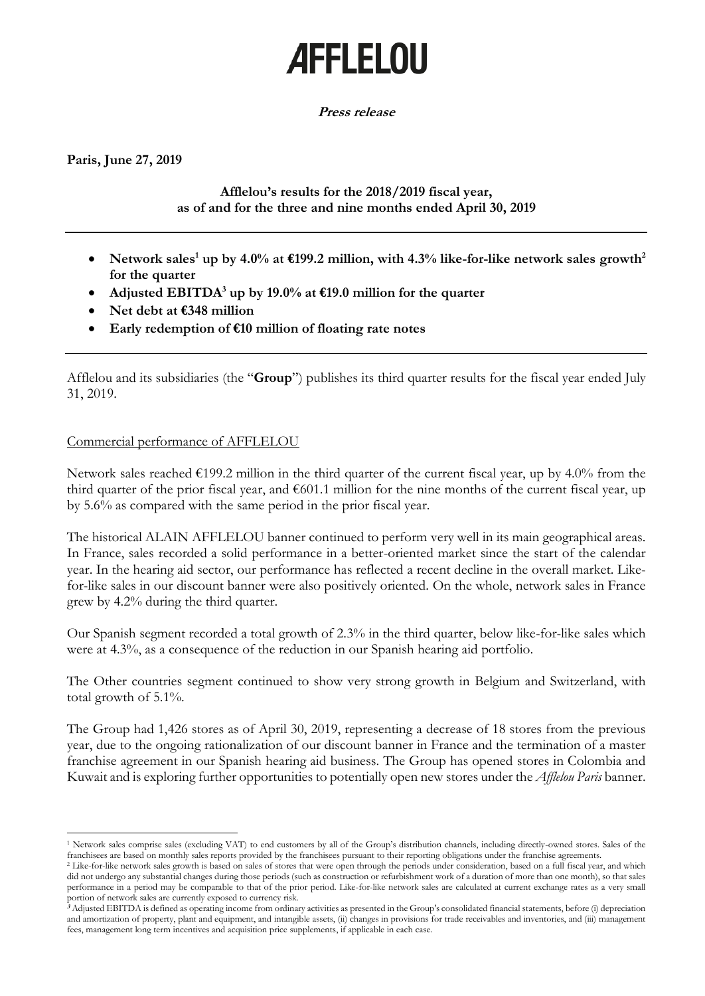# **AFFLELOU**

## **Press release**

**Paris, June 27, 2019**

 $\overline{a}$ 

# **Afflelou's results for the 2018/2019 fiscal year, as of and for the three and nine months ended April 30, 2019**

- Network sales<sup>1</sup> up by 4.0% at  $\epsilon$ 199.2 million, with 4.3% like-for-like network sales growth<sup>2</sup> **for the quarter**
- Adjusted EBITDA<sup>3</sup> up by 19.0% at  $\epsilon$ 19.0 million for the quarter
- **Net debt at €348 million**
- **Early redemption of €10 million of floating rate notes**

Afflelou and its subsidiaries (the "**Group**") publishes its third quarter results for the fiscal year ended July 31, 2019.

# Commercial performance of AFFLELOU

Network sales reached  $\epsilon$ 199.2 million in the third quarter of the current fiscal year, up by 4.0% from the third quarter of the prior fiscal year, and  $\epsilon$ 601.1 million for the nine months of the current fiscal year, up by 5.6% as compared with the same period in the prior fiscal year.

The historical ALAIN AFFLELOU banner continued to perform very well in its main geographical areas. In France, sales recorded a solid performance in a better-oriented market since the start of the calendar year. In the hearing aid sector, our performance has reflected a recent decline in the overall market. Likefor-like sales in our discount banner were also positively oriented. On the whole, network sales in France grew by 4.2% during the third quarter.

Our Spanish segment recorded a total growth of 2.3% in the third quarter, below like-for-like sales which were at 4.3%, as a consequence of the reduction in our Spanish hearing aid portfolio.

The Other countries segment continued to show very strong growth in Belgium and Switzerland, with total growth of 5.1%.

The Group had 1,426 stores as of April 30, 2019, representing a decrease of 18 stores from the previous year, due to the ongoing rationalization of our discount banner in France and the termination of a master franchise agreement in our Spanish hearing aid business. The Group has opened stores in Colombia and Kuwait and is exploring further opportunities to potentially open new stores under the *Afflelou Paris* banner.

<sup>1</sup> Network sales comprise sales (excluding VAT) to end customers by all of the Group's distribution channels, including directly-owned stores. Sales of the franchisees are based on monthly sales reports provided by the franchisees pursuant to their reporting obligations under the franchise agreements.

<sup>&</sup>lt;sup>2</sup> Like-for-like network sales growth is based on sales of stores that were open through the periods under consideration, based on a full fiscal year, and which did not undergo any substantial changes during those periods (such as construction or refurbishment work of a duration of more than one month), so that sales performance in a period may be comparable to that of the prior period. Like-for-like network sales are calculated at current exchange rates as a very small portion of network sales are currently exposed to currency risk.

**<sup>3</sup>** Adjusted EBITDA is defined as operating income from ordinary activities as presented in the Group's consolidated financial statements, before (i) depreciation and amortization of property, plant and equipment, and intangible assets, (ii) changes in provisions for trade receivables and inventories, and (iii) management fees, management long term incentives and acquisition price supplements, if applicable in each case.